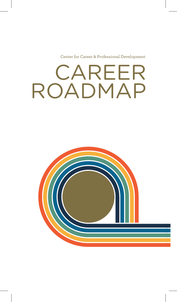Center for Career & Professional Development

## CAREER ROADMAP

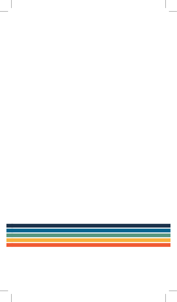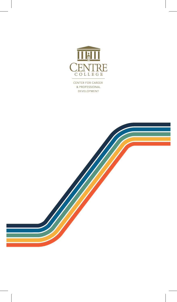

CENTER FOR CAREER & PROFESSIONAL DEVELOPMENT

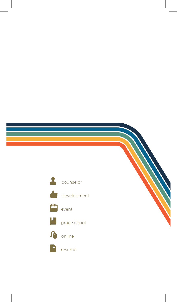



development





**grad school** 



**Jo** online



resumé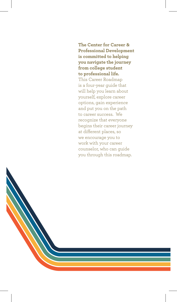**The Center for Career & Professional Development is committed to helping you navigate the journey from college student to professional life.**  This Career Roadmap is a four-year guide that will help you learn about yourself, explore career options, gain experience and put you on the path to career success. We recognize that everyone begins their career journey at different places, so we encourage you to work with your career counselor, who can guide you through this roadmap.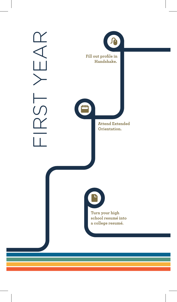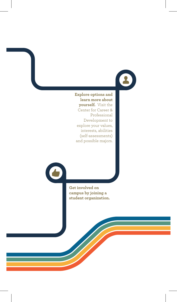**Explore options and learn more about yourself.** Visit the Center for Career & Professional Development to explore your values, interests, abilities (self-assessments) and possible majors.

8

**Get involved on campus by joining a student organization.**

 $\bigodot$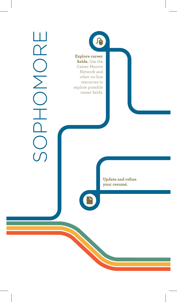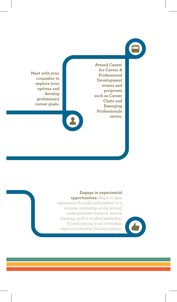

**Attend Center for Career & Professional Development events and programs such as Career Chats and Emerging Professionals series.** 

**Meet with your counselor to explore your options and develop preliminary career goals.** 



#### **Engage in experiential**

**opportunities.** Begin to gain experience through participation in a summer internship, study abroad, undergraduate research, service learning, and/or student leadership. If participating in an internship, explore internship funding options.

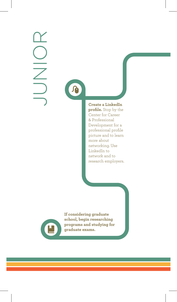## JUNIOR JNIOF



**Create a LinkedIn profile.** Stop by the Center for Career & Professional Development for a professional profile picture and to learn more about networking. Use LinkedIn to network and to research employers.

**If considering graduate school, begin researching programs and studying for graduate exams.**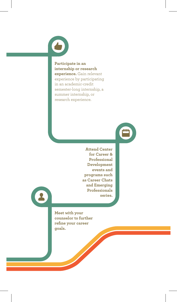

**Participate in an internship or research experience.** Gain relevant experience by participating in an academic-credit semester-long internship, a summer internship, or research experience.



**Attend Center for Career & Professional Development events and programs such as Career Chats and Emerging Professionals series.** 



**Meet with your counselor to further refine your career goals.**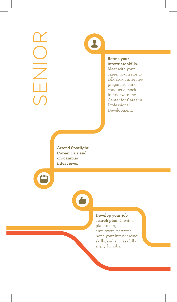# SENIOR BOINDS



**Refine your interview skills.**  Meet with your career counselor to talk about interview preparation and conduct a mock interview in the Center for Career & Professional Development.

**Attend Spotlight Career Fair and on-campus interviews.**

**THE** 



**Develop your job search plan.** Create a plan to target employers, network, hone your interviewing skills, and successfully apply for jobs.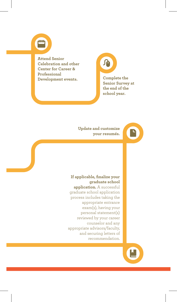### Ë

**Attend Senior Celebration and other Center for Career & Professional Development events.**



**Update and customize your resumés.** 



#### **If applicable, finalize your graduate school application.** A successful graduate school application process includes taking the

appropriate entrance exam(s), having your personal statement(s) reviewed by your career counselor and any appropriate advisors/faculty, and securing letters of recommendation.

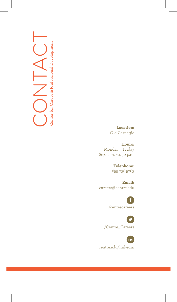CONTACT opment Center for Career & Professional Development Center for Career & Professional Dev

**Location:** Old Carnegie

**Hours:** Monday - Friday 8:30 a.m. – 4:30 p.m.

> **Telephone:** 859.238.5283

**Email:** careers@centre.edu

/centrecareers

/Centre\_Careers

**in** centre.edu/linkedin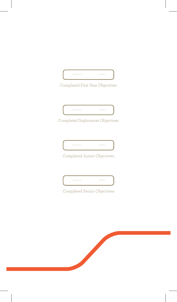| DATE |
|------|
|      |
|      |

Completed First Year Objectives

| <b>INITIALS</b> | DATE |
|-----------------|------|
|                 |      |
|                 |      |

Completed Sophomore Objectives



Completed Junior Objectives



Completed Senior Objectives